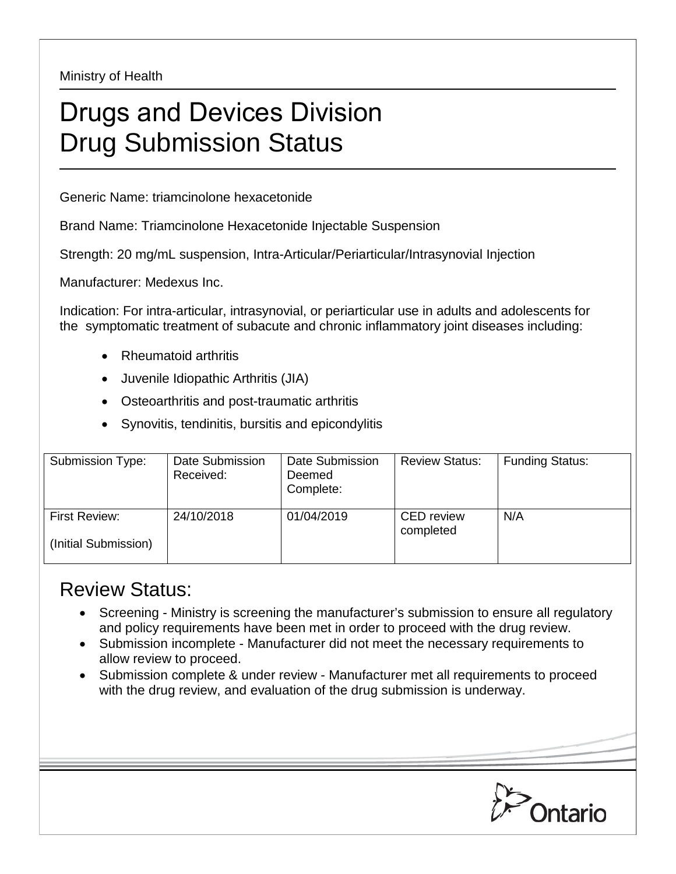Ministry of Health

## Drugs and Devices Division Drug Submission Status

Generic Name: triamcinolone hexacetonide

Brand Name: Triamcinolone Hexacetonide Injectable Suspension

Strength: 20 mg/mL suspension, Intra-Articular/Periarticular/Intrasynovial Injection

Manufacturer: Medexus Inc.

Indication: For intra-articular, intrasynovial, or periarticular use in adults and adolescents for the symptomatic treatment of subacute and chronic inflammatory joint diseases including:

- Rheumatoid arthritis
- Juvenile Idiopathic Arthritis (JIA)
- Osteoarthritis and post-traumatic arthritis
- Synovitis, tendinitis, bursitis and epicondylitis

| Submission Type:                      | Date Submission<br>Received: | Date Submission<br>Deemed<br>Complete: | <b>Review Status:</b>          | <b>Funding Status:</b> |
|---------------------------------------|------------------------------|----------------------------------------|--------------------------------|------------------------|
| First Review:<br>(Initial Submission) | 24/10/2018                   | 01/04/2019                             | <b>CED</b> review<br>completed | N/A                    |

## Review Status:

- Screening Ministry is screening the manufacturer's submission to ensure all regulatory and policy requirements have been met in order to proceed with the drug review.
- Submission incomplete Manufacturer did not meet the necessary requirements to allow review to proceed.
- Submission complete & under review Manufacturer met all requirements to proceed with the drug review, and evaluation of the drug submission is underway.